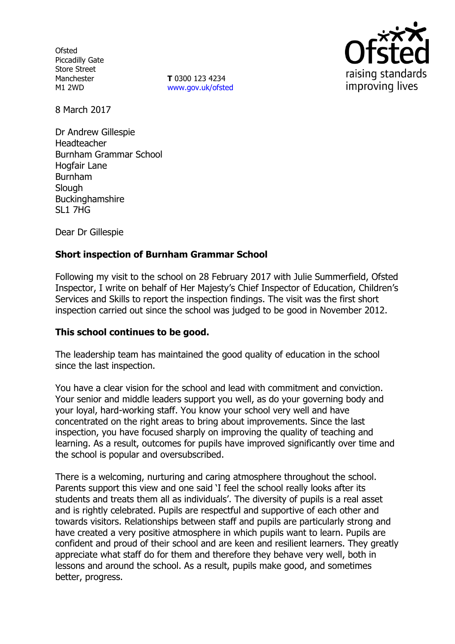**Ofsted** Piccadilly Gate Store Street Manchester M1 2WD

**T** 0300 123 4234 www.gov.uk/ofsted



8 March 2017

Dr Andrew Gillespie Headteacher Burnham Grammar School Hogfair Lane Burnham **Slough** Buckinghamshire SL1 7HG

Dear Dr Gillespie

# **Short inspection of Burnham Grammar School**

Following my visit to the school on 28 February 2017 with Julie Summerfield, Ofsted Inspector, I write on behalf of Her Majesty's Chief Inspector of Education, Children's Services and Skills to report the inspection findings. The visit was the first short inspection carried out since the school was judged to be good in November 2012.

## **This school continues to be good.**

The leadership team has maintained the good quality of education in the school since the last inspection.

You have a clear vision for the school and lead with commitment and conviction. Your senior and middle leaders support you well, as do your governing body and your loyal, hard-working staff. You know your school very well and have concentrated on the right areas to bring about improvements. Since the last inspection, you have focused sharply on improving the quality of teaching and learning. As a result, outcomes for pupils have improved significantly over time and the school is popular and oversubscribed.

There is a welcoming, nurturing and caring atmosphere throughout the school. Parents support this view and one said 'I feel the school really looks after its students and treats them all as individuals'. The diversity of pupils is a real asset and is rightly celebrated. Pupils are respectful and supportive of each other and towards visitors. Relationships between staff and pupils are particularly strong and have created a very positive atmosphere in which pupils want to learn. Pupils are confident and proud of their school and are keen and resilient learners. They greatly appreciate what staff do for them and therefore they behave very well, both in lessons and around the school. As a result, pupils make good, and sometimes better, progress.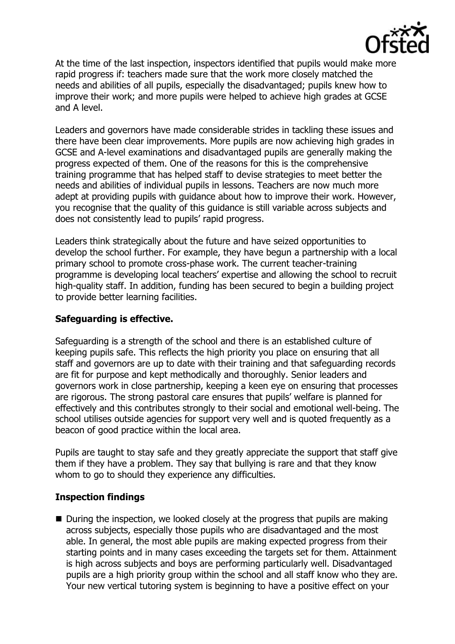

At the time of the last inspection, inspectors identified that pupils would make more rapid progress if: teachers made sure that the work more closely matched the needs and abilities of all pupils, especially the disadvantaged; pupils knew how to improve their work; and more pupils were helped to achieve high grades at GCSE and A level.

Leaders and governors have made considerable strides in tackling these issues and there have been clear improvements. More pupils are now achieving high grades in GCSE and A-level examinations and disadvantaged pupils are generally making the progress expected of them. One of the reasons for this is the comprehensive training programme that has helped staff to devise strategies to meet better the needs and abilities of individual pupils in lessons. Teachers are now much more adept at providing pupils with guidance about how to improve their work. However, you recognise that the quality of this guidance is still variable across subjects and does not consistently lead to pupils' rapid progress.

Leaders think strategically about the future and have seized opportunities to develop the school further. For example, they have begun a partnership with a local primary school to promote cross-phase work. The current teacher-training programme is developing local teachers' expertise and allowing the school to recruit high-quality staff. In addition, funding has been secured to begin a building project to provide better learning facilities.

# **Safeguarding is effective.**

Safeguarding is a strength of the school and there is an established culture of keeping pupils safe. This reflects the high priority you place on ensuring that all staff and governors are up to date with their training and that safeguarding records are fit for purpose and kept methodically and thoroughly. Senior leaders and governors work in close partnership, keeping a keen eye on ensuring that processes are rigorous. The strong pastoral care ensures that pupils' welfare is planned for effectively and this contributes strongly to their social and emotional well-being. The school utilises outside agencies for support very well and is quoted frequently as a beacon of good practice within the local area.

Pupils are taught to stay safe and they greatly appreciate the support that staff give them if they have a problem. They say that bullying is rare and that they know whom to go to should they experience any difficulties.

# **Inspection findings**

■ During the inspection, we looked closely at the progress that pupils are making across subjects, especially those pupils who are disadvantaged and the most able. In general, the most able pupils are making expected progress from their starting points and in many cases exceeding the targets set for them. Attainment is high across subjects and boys are performing particularly well. Disadvantaged pupils are a high priority group within the school and all staff know who they are. Your new vertical tutoring system is beginning to have a positive effect on your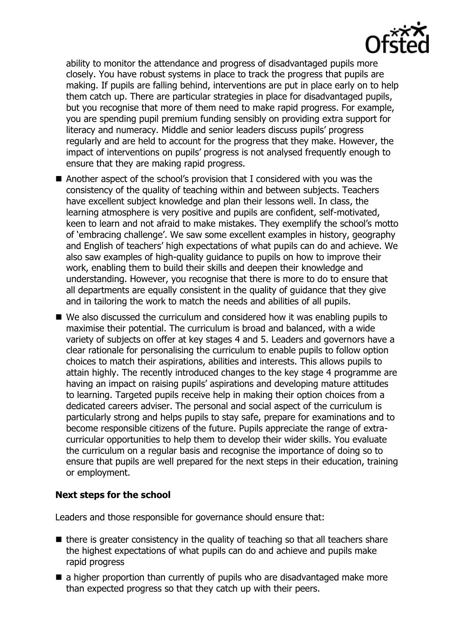

ability to monitor the attendance and progress of disadvantaged pupils more closely. You have robust systems in place to track the progress that pupils are making. If pupils are falling behind, interventions are put in place early on to help them catch up. There are particular strategies in place for disadvantaged pupils, but you recognise that more of them need to make rapid progress. For example, you are spending pupil premium funding sensibly on providing extra support for literacy and numeracy. Middle and senior leaders discuss pupils' progress regularly and are held to account for the progress that they make. However, the impact of interventions on pupils' progress is not analysed frequently enough to ensure that they are making rapid progress.

- Another aspect of the school's provision that I considered with you was the consistency of the quality of teaching within and between subjects. Teachers have excellent subject knowledge and plan their lessons well. In class, the learning atmosphere is very positive and pupils are confident, self-motivated, keen to learn and not afraid to make mistakes. They exemplify the school's motto of 'embracing challenge'. We saw some excellent examples in history, geography and English of teachers' high expectations of what pupils can do and achieve. We also saw examples of high-quality guidance to pupils on how to improve their work, enabling them to build their skills and deepen their knowledge and understanding. However, you recognise that there is more to do to ensure that all departments are equally consistent in the quality of guidance that they give and in tailoring the work to match the needs and abilities of all pupils.
- We also discussed the curriculum and considered how it was enabling pupils to maximise their potential. The curriculum is broad and balanced, with a wide variety of subjects on offer at key stages 4 and 5. Leaders and governors have a clear rationale for personalising the curriculum to enable pupils to follow option choices to match their aspirations, abilities and interests. This allows pupils to attain highly. The recently introduced changes to the key stage 4 programme are having an impact on raising pupils' aspirations and developing mature attitudes to learning. Targeted pupils receive help in making their option choices from a dedicated careers adviser. The personal and social aspect of the curriculum is particularly strong and helps pupils to stay safe, prepare for examinations and to become responsible citizens of the future. Pupils appreciate the range of extracurricular opportunities to help them to develop their wider skills. You evaluate the curriculum on a regular basis and recognise the importance of doing so to ensure that pupils are well prepared for the next steps in their education, training or employment.

## **Next steps for the school**

Leaders and those responsible for governance should ensure that:

- $\blacksquare$  there is greater consistency in the quality of teaching so that all teachers share the highest expectations of what pupils can do and achieve and pupils make rapid progress
- $\blacksquare$  a higher proportion than currently of pupils who are disadvantaged make more than expected progress so that they catch up with their peers.